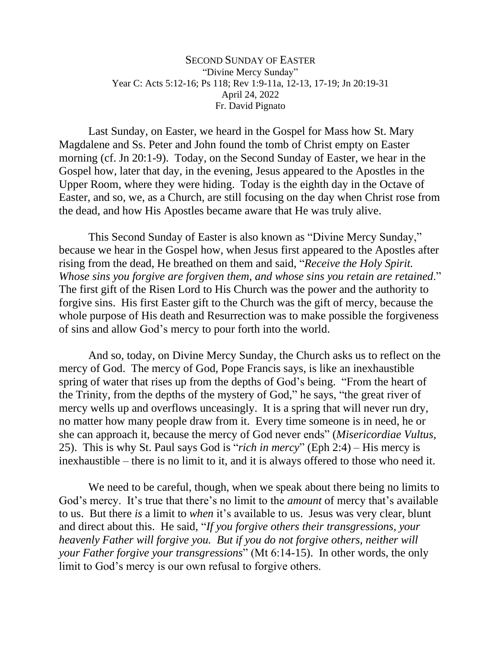## SECOND SUNDAY OF EASTER "Divine Mercy Sunday" Year C: Acts 5:12-16; Ps 118; Rev 1:9-11a, 12-13, 17-19; Jn 20:19-31 April 24, 2022 Fr. David Pignato

Last Sunday, on Easter, we heard in the Gospel for Mass how St. Mary Magdalene and Ss. Peter and John found the tomb of Christ empty on Easter morning (cf. Jn 20:1-9). Today, on the Second Sunday of Easter, we hear in the Gospel how, later that day, in the evening, Jesus appeared to the Apostles in the Upper Room, where they were hiding. Today is the eighth day in the Octave of Easter, and so, we, as a Church, are still focusing on the day when Christ rose from the dead, and how His Apostles became aware that He was truly alive.

This Second Sunday of Easter is also known as "Divine Mercy Sunday," because we hear in the Gospel how, when Jesus first appeared to the Apostles after rising from the dead, He breathed on them and said, "*Receive the Holy Spirit. Whose sins you forgive are forgiven them, and whose sins you retain are retained*." The first gift of the Risen Lord to His Church was the power and the authority to forgive sins. His first Easter gift to the Church was the gift of mercy, because the whole purpose of His death and Resurrection was to make possible the forgiveness of sins and allow God's mercy to pour forth into the world.

And so, today, on Divine Mercy Sunday, the Church asks us to reflect on the mercy of God. The mercy of God, Pope Francis says, is like an inexhaustible spring of water that rises up from the depths of God's being. "From the heart of the Trinity, from the depths of the mystery of God," he says, "the great river of mercy wells up and overflows unceasingly. It is a spring that will never run dry, no matter how many people draw from it. Every time someone is in need, he or she can approach it, because the mercy of God never ends" (*Misericordiae Vultus*, 25). This is why St. Paul says God is "*rich in mercy*" (Eph 2:4) – His mercy is inexhaustible – there is no limit to it, and it is always offered to those who need it.

We need to be careful, though, when we speak about there being no limits to God's mercy. It's true that there's no limit to the *amount* of mercy that's available to us. But there *is* a limit to *when* it's available to us. Jesus was very clear, blunt and direct about this. He said, "*If you forgive others their transgressions, your heavenly Father will forgive you. But if you do not forgive others, neither will your Father forgive your transgressions*" (Mt 6:14-15). In other words, the only limit to God's mercy is our own refusal to forgive others.